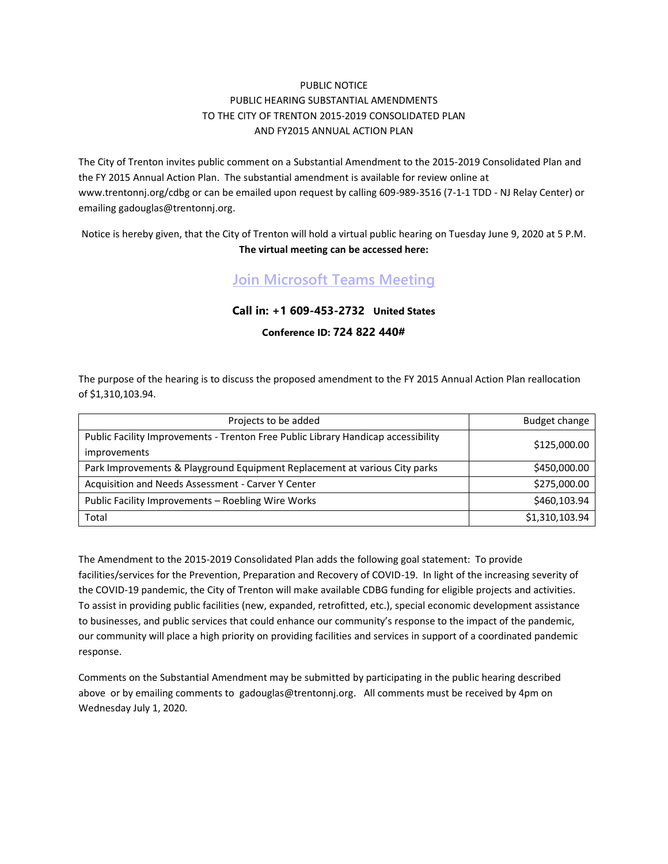## PUBLIC NOTICE PUBLIC HEARING SUBSTANTIAL AMENDMENTS TO THE CITY OF TRENTON 2015-2019 CONSOLIDATED PLAN AND FY2015 ANNUAL ACTION PLAN

The City of Trenton invites public comment on a Substantial Amendment to the 2015-2019 Consolidated Plan and the FY 2015 Annual Action Plan. The substantial amendment is available for review online at [www.trentonnj.org/cdbg](http://www.trentonnj.org/febpublicnotices) or can be emailed upon request by calling 609-989-3516 (7-1-1 TDD - NJ Relay Center) or emailing [gadouglas@trentonnj.org.](mailto:gadouglas@trentonnj.org)

Notice is hereby given, that the City of Trenton will hold a virtual public hearing on Tuesday June 9, 2020 at 5 P.M. **The virtual meeting can be accessed here:** 

## **[Join Microsoft Teams Meeting](https://teams.microsoft.com/l/meetup-join/19%3ameeting_ZTdjMzNlYmMtYzAxYi00MjFlLThmMmUtYTZkYTBhZDYyMTJj%40thread.v2/0?context=%7b%22Tid%22%3a%22f86c5221-bbd6-4070-b193-55d36a0de932%22%2c%22Oid%22%3a%2219e95af8-4930-4716-a6ea-1e6ffa67db02%22%7d)**

## **Call in: +1 609-453-2732 United States**

## **Conference ID: 724 822 440#**

The purpose of the hearing is to discuss the proposed amendment to the FY 2015 Annual Action Plan reallocation of \$1,310,103.94.

| Projects to be added                                                                              | Budget change  |
|---------------------------------------------------------------------------------------------------|----------------|
| Public Facility Improvements - Trenton Free Public Library Handicap accessibility<br>improvements | \$125,000.00   |
| Park Improvements & Playground Equipment Replacement at various City parks                        | \$450,000.00   |
| Acquisition and Needs Assessment - Carver Y Center                                                | \$275,000.00   |
| Public Facility Improvements - Roebling Wire Works                                                | \$460,103.94   |
| Total                                                                                             | \$1,310,103.94 |

The Amendment to the 2015-2019 Consolidated Plan adds the following goal statement: To provide facilities/services for the Prevention, Preparation and Recovery of COVID-19. In light of the increasing severity of the COVID-19 pandemic, the City of Trenton will make available CDBG funding for eligible projects and activities. To assist in providing public facilities (new, expanded, retrofitted, etc.), special economic development assistance to businesses, and public services that could enhance our community's response to the impact of the pandemic, our community will place a high priority on providing facilities and services in support of a coordinated pandemic response.

Comments on the Substantial Amendment may be submitted by participating in the public hearing described above or by emailing comments to [gadouglas@trentonnj.org.](mailto:gadouglas@trentonnj.org) All comments must be received by 4pm on Wednesday July 1, 2020.